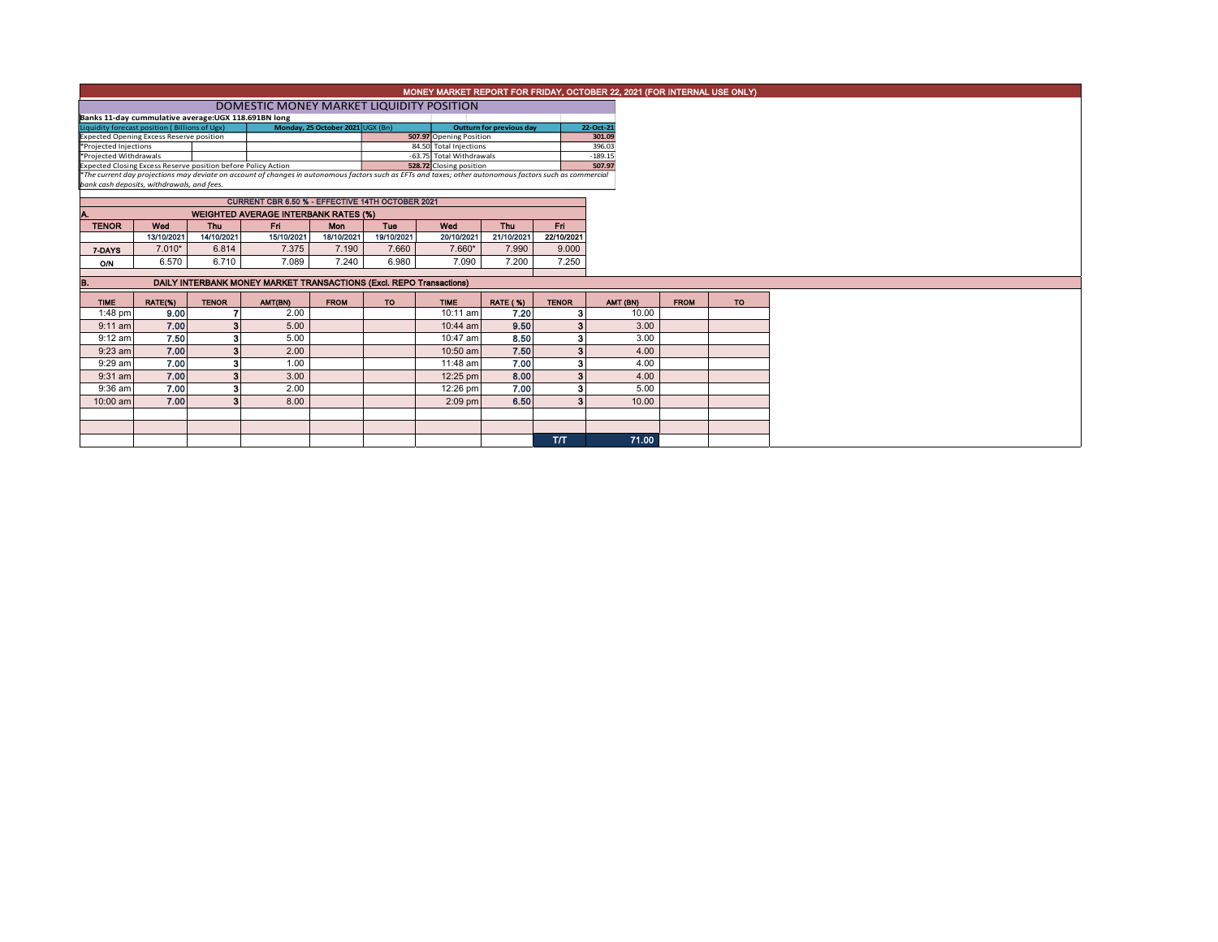|                                                                                         |            |              |                                                                                                                                                          |                                  |            |                                                     |                          |              | MONEY MARKET REPORT FOR FRIDAY, OCTOBER 22, 2021 (FOR INTERNAL USE ONLY) |             |    |
|-----------------------------------------------------------------------------------------|------------|--------------|----------------------------------------------------------------------------------------------------------------------------------------------------------|----------------------------------|------------|-----------------------------------------------------|--------------------------|--------------|--------------------------------------------------------------------------|-------------|----|
|                                                                                         |            |              | DOMESTIC MONEY MARKET LIQUIDITY POSITION                                                                                                                 |                                  |            |                                                     |                          |              |                                                                          |             |    |
| Banks 11-day cummulative average: UGX 118.691BN long                                    |            |              |                                                                                                                                                          |                                  |            |                                                     |                          |              |                                                                          |             |    |
| Liquidity forecast position (Billions of Ugx)                                           |            |              |                                                                                                                                                          | Monday, 25 October 2021 UGX (Bn) |            |                                                     | Outturn for previous day |              | 22-Oct-21                                                                |             |    |
| <b>Expected Opening Excess Reserve position</b>                                         |            |              |                                                                                                                                                          |                                  |            | 507.97 Opening Position                             |                          |              | 301.09                                                                   |             |    |
| *Projected Injections                                                                   |            |              |                                                                                                                                                          |                                  |            | 84.50 Total Injections                              |                          |              | 396.03                                                                   |             |    |
| *Projected Withdrawals<br>Expected Closing Excess Reserve position before Policy Action |            |              |                                                                                                                                                          |                                  |            | -63.75 Total Withdrawals<br>528.72 Closing position |                          |              | $-189.15$<br>507.97                                                      |             |    |
|                                                                                         |            |              | *The current day projections may deviate on account of changes in autonomous factors such as EFTs and taxes; other autonomous factors such as commercial |                                  |            |                                                     |                          |              |                                                                          |             |    |
| bank cash deposits, withdrawals, and fees.                                              |            |              |                                                                                                                                                          |                                  |            |                                                     |                          |              |                                                                          |             |    |
|                                                                                         |            |              | CURRENT CBR 6.50 % - EFFECTIVE 14TH OCTOBER 2021                                                                                                         |                                  |            |                                                     |                          |              |                                                                          |             |    |
|                                                                                         |            |              | <b>WEIGHTED AVERAGE INTERBANK RATES (%)</b>                                                                                                              |                                  |            |                                                     |                          |              |                                                                          |             |    |
| <b>TENOR</b>                                                                            | Wed        | Thu          | Fri                                                                                                                                                      | <b>Mon</b>                       | Tue        | Wod                                                 | Thu                      | Fri.         |                                                                          |             |    |
|                                                                                         | 13/10/2021 | 14/10/2021   | 15/10/2021                                                                                                                                               | 18/10/2021                       | 19/10/2021 | 20/10/2021                                          | 21/10/2021               | 22/10/2021   |                                                                          |             |    |
| 7-DAYS                                                                                  | $7.010*$   | 6.814        | 7.375                                                                                                                                                    | 7.190                            | 7.660      | 7.660*                                              | 7.990                    | 9.000        |                                                                          |             |    |
| <b>O/N</b>                                                                              | 6.570      | 6.710        | 7.089                                                                                                                                                    | 7.240                            | 6.980      | 7.090                                               | 7.200                    | 7.250        |                                                                          |             |    |
|                                                                                         |            |              |                                                                                                                                                          |                                  |            |                                                     |                          |              |                                                                          |             |    |
| B.                                                                                      |            |              | DAILY INTERBANK MONEY MARKET TRANSACTIONS (Excl. REPO Transactions)                                                                                      |                                  |            |                                                     |                          |              |                                                                          |             |    |
| <b>TIME</b>                                                                             | RATE(%)    | <b>TENOR</b> | AMT(BN)                                                                                                                                                  | <b>FROM</b>                      | <b>TO</b>  | <b>TIME</b>                                         | <b>RATE (%)</b>          | <b>TENOR</b> | AMT (BN)                                                                 | <b>FROM</b> | TO |
| 1:48 pm                                                                                 | 9.00       |              | 2.00                                                                                                                                                     |                                  |            | 10:11 am                                            | 7.20                     |              | 10.00                                                                    |             |    |
| $9:11$ am                                                                               | 7.00       | 2            | 5.00                                                                                                                                                     |                                  |            | 10:44 am                                            | 9.50                     |              | 3.00                                                                     |             |    |
| $9:12$ am                                                                               | 7.50       | з            | 5.00                                                                                                                                                     |                                  |            | 10:47 am                                            | 8.50                     |              | 3.00                                                                     |             |    |
| $9:23$ am                                                                               | 7.00       | 2            | 2.00                                                                                                                                                     |                                  |            | 10:50 am                                            | 7.50                     |              | 4.00                                                                     |             |    |
| 9:29 am                                                                                 | 7.00       | 3            | 1.00                                                                                                                                                     |                                  |            | 11:48 am                                            | 7.00                     |              | 4.00                                                                     |             |    |
| $9:31$ am                                                                               | 7.00       | 3            | 3.00                                                                                                                                                     |                                  |            | 12:25 pm                                            | 8.00                     |              | 4.00                                                                     |             |    |
| 9:36 am                                                                                 | 7.00       | 3            | 2.00                                                                                                                                                     |                                  |            | 12:26 pm                                            | 7.00                     |              | 5.00                                                                     |             |    |
| 10:00 am                                                                                | 7.00       |              | 8.00                                                                                                                                                     |                                  |            | $2:09$ pm                                           | 6.50                     |              | 10.00                                                                    |             |    |
|                                                                                         |            |              |                                                                                                                                                          |                                  |            |                                                     |                          |              |                                                                          |             |    |
|                                                                                         |            |              |                                                                                                                                                          |                                  |            |                                                     |                          |              |                                                                          |             |    |
|                                                                                         |            |              |                                                                                                                                                          |                                  |            |                                                     |                          | <b>T/T</b>   | 71.00                                                                    |             |    |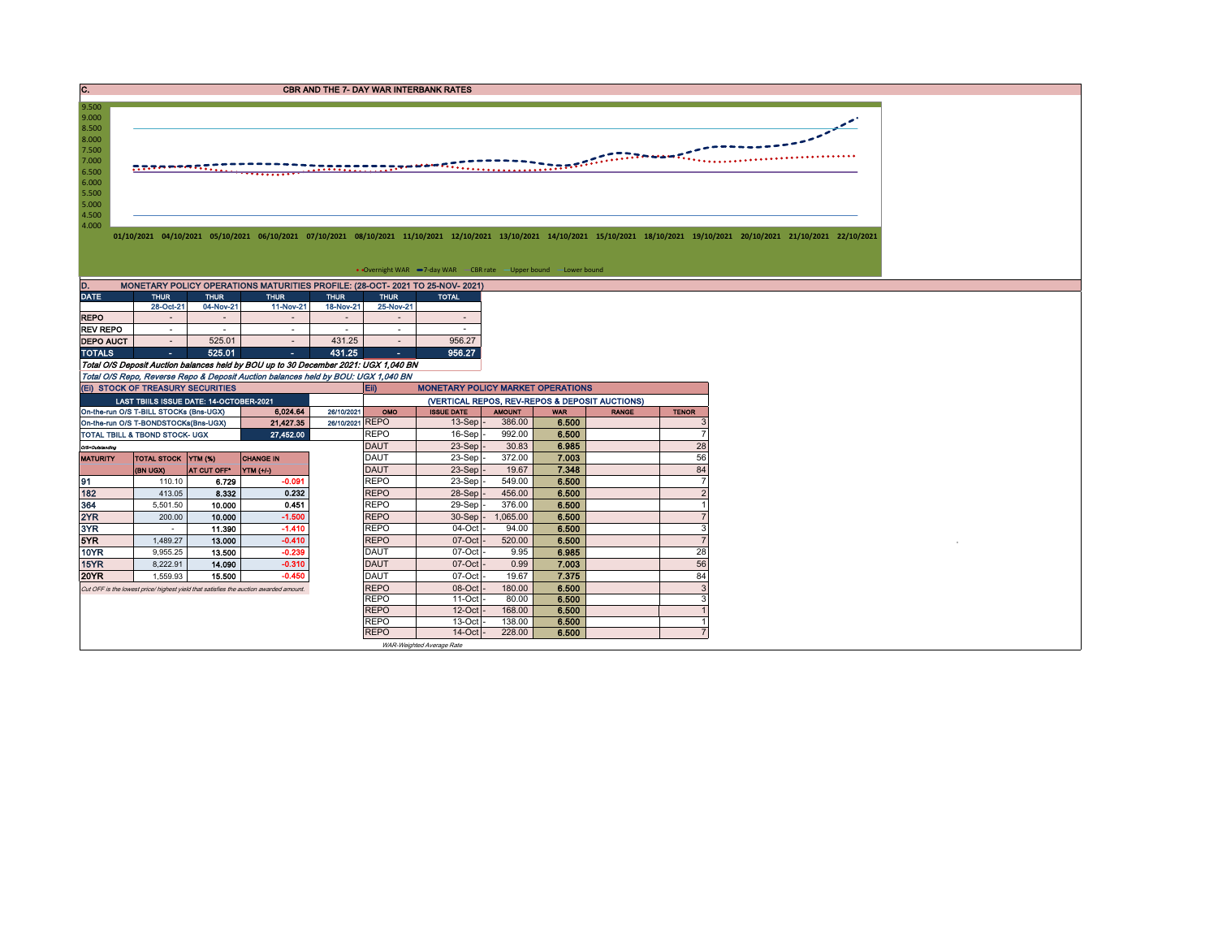C. CREASE CONTROL CONTROL CONTROL CONTROL CONTROL CONTROL CONTROL CONTROL CONTROL CONTROL CONTROL CONTROL CONTROL CONTROL CONTROL CONTROL CONTROL CONTROL CONTROL CONTROL CONTROL CONTROL CONTROL CONTROL CONTROL CONTROL CONT



01/10/2021 04/10/2021 05/10/2021 06/10/2021 07/10/2021 08/10/2021 11/10/2021 12/10/2021 13/10/2021 14/10/2021 15/10/2021 15/10/2021 18/10/2021 19/10/2021 20/10/2021 22/10/2021

## • Overnight WAR -7-day WAR - CBR rate - Upper bound - Lower bound

| D.               | MONETARY POLICY OPERATIONS MATURITIES PROFILE: (28-OCT- 2021 TO 25-NOV- 2021) |             |                                                                                     |             |             |              |  |  |  |  |  |  |  |  |  |
|------------------|-------------------------------------------------------------------------------|-------------|-------------------------------------------------------------------------------------|-------------|-------------|--------------|--|--|--|--|--|--|--|--|--|
| <b>DATE</b>      | <b>THUR</b>                                                                   | <b>THUR</b> | <b>THUR</b>                                                                         | <b>THUR</b> | <b>THUR</b> | <b>TOTAL</b> |  |  |  |  |  |  |  |  |  |
|                  | 28-Oct-21                                                                     | 04-Nov-21   | 11-Nov-21                                                                           | 18-Nov-21   | 25-Nov-21   |              |  |  |  |  |  |  |  |  |  |
| <b>REPO</b>      |                                                                               |             |                                                                                     |             |             |              |  |  |  |  |  |  |  |  |  |
| <b>REV REPO</b>  |                                                                               |             |                                                                                     |             |             |              |  |  |  |  |  |  |  |  |  |
| <b>DEPO AUCT</b> |                                                                               | 525.01      |                                                                                     | 431.25      |             | 956.27       |  |  |  |  |  |  |  |  |  |
| <b>TOTALS</b>    | ٠                                                                             | 525.01      |                                                                                     | 431.25      | ۰           | 956.27       |  |  |  |  |  |  |  |  |  |
|                  |                                                                               |             | Total O/S Deposit Auction balances held by BOU up to 30 December 2021: UGX 1,040 BN |             |             |              |  |  |  |  |  |  |  |  |  |

Total O/S Repo, Reverse Repo & Deposit Auction balances held by BOU: UGX 1,040 BN

8.500<br>8.000<br>7.500<br>7.000<br>6.500<br>5.500<br>5.500<br>4.500<br>4.000

9.000 9.500

|                 | (EI) STOCK OF TREASURY SECURITIES         |             |                                                                                      |                 | <b>MONETARY POLICY MARKET OPERATIONS</b><br>Eii) |                   |               |            |              |              |  |  |
|-----------------|-------------------------------------------|-------------|--------------------------------------------------------------------------------------|-----------------|--------------------------------------------------|-------------------|---------------|------------|--------------|--------------|--|--|
|                 | LAST TBIILS ISSUE DATE: 14-OCTOBER-2021   |             |                                                                                      |                 | (VERTICAL REPOS, REV-REPOS & DEPOSIT AUCTIONS)   |                   |               |            |              |              |  |  |
|                 | On-the-run O/S T-BILL STOCKs (Bns-UGX)    |             | 6.024.64                                                                             | 26/10/2021      | OMO                                              | <b>ISSUE DATE</b> | <b>AMOUNT</b> | <b>WAR</b> | <b>RANGE</b> | <b>TENOR</b> |  |  |
|                 | On-the-run O/S T-BONDSTOCKs(Bns-UGX)      |             | 21,427.35                                                                            | 26/10/2021 REPO |                                                  | $13-Sep$ -        | 386.00        | 6.500      |              |              |  |  |
|                 | <b>TOTAL TBILL &amp; TBOND STOCK- UGX</b> |             | 27,452.00                                                                            |                 | <b>REPO</b>                                      | $16-Sep$          | 992.00        | 6.500      |              |              |  |  |
| O/S=Outstanding |                                           |             |                                                                                      |                 | <b>DAUT</b>                                      | $23-Sep$ -        | 30.83         | 6.985      |              | 28           |  |  |
| <b>MATURITY</b> | TOTAL STOCK YTM (%)                       |             | <b>CHANGE IN</b>                                                                     |                 | DAUT                                             | $23-Sep$ -        | 372.00        | 7.003      |              | 56           |  |  |
|                 | (BN UGX)                                  | AT CUT OFF" | $YTM$ $(+/-)$                                                                        |                 | <b>DAUT</b>                                      | $23-Sep$ -        | 19.67         | 7.348      |              | 84           |  |  |
| 91              | 110.10                                    | 6.729       | $-0.091$                                                                             |                 | <b>REPO</b>                                      | 23-Sep-           | 549.00        | 6.500      |              |              |  |  |
| 182             | 413.05                                    | 8.332       | 0.232                                                                                |                 | <b>REPO</b>                                      | 28-Sep -          | 456.00        | 6.500      |              |              |  |  |
| 364             | 5,501.50                                  | 10.000      | 0.451                                                                                |                 | <b>REPO</b>                                      | 29-Sep-           | 376.00        | 6.500      |              |              |  |  |
| 2YR             | 200.00                                    | 10.000      | $-1.500$                                                                             |                 | <b>REPO</b>                                      | $30-Sep$ -        | 1,065.00      | 6.500      |              |              |  |  |
| 3YR             |                                           | 11.390      | $-1.410$                                                                             |                 | <b>REPO</b>                                      | 04-Oct -          | 94.00         | 6.500      |              |              |  |  |
| 5YR             | 1,489.27                                  | 13.000      | $-0.410$                                                                             |                 | <b>REPO</b>                                      | $07-Cct$          | 520.00        | 6.500      |              |              |  |  |
| 10YR            | 9,955.25                                  | 13.500      | $-0.239$                                                                             |                 | <b>DAUT</b>                                      | $07$ -Oct -       | 9.95          | 6.985      |              | 28           |  |  |
| 15YR            | 8,222.91                                  | 14.090      | $-0.310$                                                                             |                 | <b>DAUT</b>                                      | $07-Cct$          | 0.99          | 7.003      |              | 56           |  |  |
| <b>20YR</b>     | 1.559.93                                  | 15.500      | $-0.450$                                                                             |                 | <b>DAUT</b>                                      | $07-Cct$          | 19.67         | 7.375      |              | 84           |  |  |
|                 |                                           |             | Cut OFF is the lowest price/highest vield that satisfies the auction awarded amount. |                 | <b>REPO</b>                                      | $08$ -Oct $-$     | 180.00        | 6.500      |              |              |  |  |
|                 |                                           |             |                                                                                      |                 | <b>REPO</b>                                      | $11$ -Oct $-$     | 80.00         | 6.500      |              |              |  |  |
|                 |                                           |             |                                                                                      |                 | <b>REPO</b>                                      | $12$ -Oct $-$     | 168.00        | 6.500      |              |              |  |  |
|                 |                                           |             |                                                                                      |                 | <b>REPO</b>                                      | $13$ -Oct $-$     | 138.00        | 6.500      |              |              |  |  |
|                 |                                           |             |                                                                                      |                 | <b>REPO</b>                                      | $14$ -Oct $-$     | 228.00        | 6.500      |              |              |  |  |

WAR-Weighted Average Rate